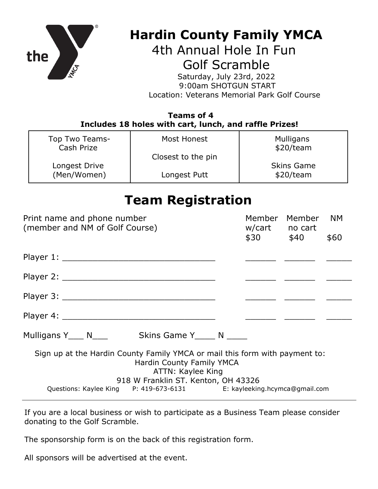

## **Hardin County Family YMCA**

4th Annual Hole In Fun Golf Scramble

Saturday, July 23rd, 2022 9:00am SHOTGUN START Location: Veterans Memorial Park Golf Course

## **Teams of 4 Includes 18 holes with cart, lunch, and raffle Prizes!**

| Top Two Teams-<br>Cash Prize | Most Honest        | Mulligans<br>\$20/team |
|------------------------------|--------------------|------------------------|
|                              | Closest to the pin |                        |
| Longest Drive                |                    | <b>Skins Game</b>      |
| (Men/Women)                  | Longest Putt       | \$20/team              |

## **Team Registration**

| Print name and phone number<br>(member and NM of Golf Course)                                                                                                        | Member Member<br><b>NM</b><br>w/cart no cart |  |  |  |
|----------------------------------------------------------------------------------------------------------------------------------------------------------------------|----------------------------------------------|--|--|--|
|                                                                                                                                                                      | $$30$ $$40$<br>\$60                          |  |  |  |
|                                                                                                                                                                      |                                              |  |  |  |
|                                                                                                                                                                      |                                              |  |  |  |
|                                                                                                                                                                      |                                              |  |  |  |
|                                                                                                                                                                      |                                              |  |  |  |
|                                                                                                                                                                      |                                              |  |  |  |
| Sign up at the Hardin County Family YMCA or mail this form with payment to:<br>Hardin County Family YMCA<br>ATTN: Kaylee King<br>918 W Franklin ST. Kenton, OH 43326 |                                              |  |  |  |
| Questions: Kaylee King P: 419-673-6131 E: kayleeking.hcymca@gmail.com                                                                                                |                                              |  |  |  |

If you are a local business or wish to participate as a Business Team please consider donating to the Golf Scramble.

The sponsorship form is on the back of this registration form.

All sponsors will be advertised at the event.